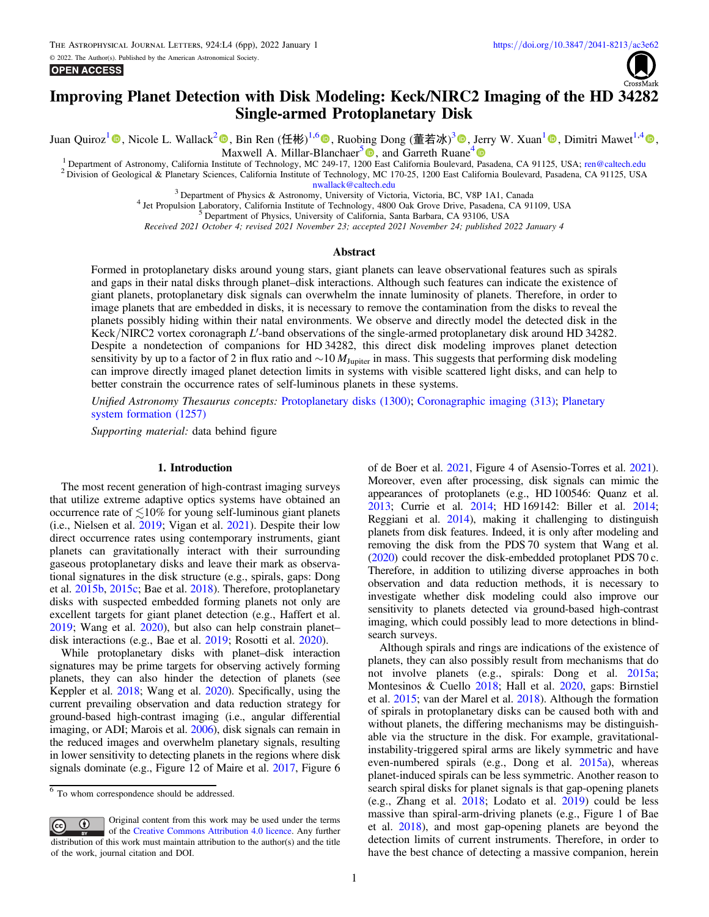**OPEN ACCESS** 



# Improving Planet Detection with Disk Modeling: Keck/NIRC2 Imaging of the HD 34282 Single-armed Protoplanetary Disk

Juan Quiroz[1](https://orcid.org/0000-0001-8037-3779) , Nicole L. Wallack[2](https://orcid.org/0000-0003-0354-0187) , Bin Ren (任彬) 1,[6](https://orcid.org/0000-0003-1698-9696) [,](https://orcid.org/0000-0003-1698-9696) Ruobing Dong (董若冰) <sup>3</sup> [,](https://orcid.org/0000-0001-9290-7846) Jerry W. Xuan[1](https://orcid.org/0000-0002-6618-1137) , Dimitri Mawet1,[4](https://orcid.org/0000-0002-8895-4735) ,

Maxwell A. Millar-Blanchaer<sup>[5](https://orcid.org/0000-0001-6205-9233)</sup> , and Garreth Ruane<sup>[4](https://orcid.org/0000-0003-4769-1665)</sup> <sup>®</sup><br><sup>1</sup> Department of Astronomy, California Institute of Technology, MC 249-17, 1200 East California Boulevard, Pasadena, CA 91125, USA; ren@caltech.edu 2 Division of Geological & Planetary Sciences, California Institute of Technology, MC 170-25, 1200 East California Boulevard, Pasadena, CA 91125, USA

[nwallack@caltech.edu](mailto:nwallack@caltech.edu)<br>
<sup>3</sup> Department of Physics & Astronomy, University of Victoria, Victoria, BC, V8P 1A1, Canada<br>
<sup>4</sup> Jet Propulsion Laboratory, California Institute of Technology, 4800 Oak Grove Drive, Pasadena, CA 9110

Received 2021 October 4; revised 2021 November 23; accepted 2021 November 24; published 2022 January 4

## Abstract

Formed in protoplanetary disks around young stars, giant planets can leave observational features such as spirals and gaps in their natal disks through planet–disk interactions. Although such features can indicate the existence of giant planets, protoplanetary disk signals can overwhelm the innate luminosity of planets. Therefore, in order to image planets that are embedded in disks, it is necessary to remove the contamination from the disks to reveal the planets possibly hiding within their natal environments. We observe and directly model the detected disk in the Keck/NIRC2 vortex coronagraph L'-band observations of the single-armed protoplanetary disk around HD 34282. Despite a nondetection of companions for HD 34282, this direct disk modeling improves planet detection sensitivity by up to a factor of 2 in flux ratio and ∼10  $M_{\text{Jupiter}}$  in mass. This suggests that performing disk modeling can improve directly imaged planet detection limits in systems with visible scattered light disks, and can help to better constrain the occurrence rates of self-luminous planets in these systems.

Unified Astronomy Thesaurus concepts: [Protoplanetary disks](http://astrothesaurus.org/uat/1300) (1300); [Coronagraphic imaging](http://astrothesaurus.org/uat/313) (313); [Planetary](http://astrothesaurus.org/uat/1257) [system formation](http://astrothesaurus.org/uat/1257) (1257)

Supporting material: data behind figure

#### 1. Introduction

The most recent generation of high-contrast imaging surveys that utilize extreme adaptive optics systems have obtained an occurrence rate of  $\lesssim$ 10% for young self-luminous giant planets (i.e., Nielsen et al. [2019;](#page-5-0) Vigan et al. [2021](#page-5-0)). Despite their low direct occurrence rates using contemporary instruments, giant planets can gravitationally interact with their surrounding gaseous protoplanetary disks and leave their mark as observational signatures in the disk structure (e.g., spirals, gaps: Dong et al. [2015b,](#page-5-0) [2015c](#page-5-0); Bae et al. [2018](#page-5-0)). Therefore, protoplanetary disks with suspected embedded forming planets not only are excellent targets for giant planet detection (e.g., Haffert et al. [2019;](#page-5-0) Wang et al. [2020](#page-5-0)), but also can help constrain planet– disk interactions (e.g., Bae et al. [2019](#page-5-0); Rosotti et al. [2020](#page-5-0)).

While protoplanetary disks with planet–disk interaction signatures may be prime targets for observing actively forming planets, they can also hinder the detection of planets (see Keppler et al. [2018;](#page-5-0) Wang et al. [2020](#page-5-0)). Specifically, using the current prevailing observation and data reduction strategy for ground-based high-contrast imaging (i.e., angular differential imaging, or ADI; Marois et al. [2006](#page-5-0)), disk signals can remain in the reduced images and overwhelm planetary signals, resulting in lower sensitivity to detecting planets in the regions where disk signals dominate (e.g., Figure 12 of Maire et al. [2017](#page-5-0), Figure 6

Original content from this work may be used under the terms  $\bigcirc$  $\left(\mathrm{cc}\right)$ of the [Creative Commons Attribution 4.0 licence.](http://creativecommons.org/licenses/by/4.0/) Any further distribution of this work must maintain attribution to the author(s) and the title of the work, journal citation and DOI.

of de Boer et al. [2021,](#page-5-0) Figure 4 of Asensio-Torres et al. [2021](#page-5-0)). Moreover, even after processing, disk signals can mimic the appearances of protoplanets (e.g., HD 100546: Quanz et al. [2013](#page-5-0); Currie et al. [2014](#page-5-0); HD 169142: Biller et al. [2014](#page-5-0); Reggiani et al. [2014](#page-5-0)), making it challenging to distinguish planets from disk features. Indeed, it is only after modeling and removing the disk from the PDS 70 system that Wang et al. ([2020](#page-5-0)) could recover the disk-embedded protoplanet PDS 70 c. Therefore, in addition to utilizing diverse approaches in both observation and data reduction methods, it is necessary to investigate whether disk modeling could also improve our sensitivity to planets detected via ground-based high-contrast imaging, which could possibly lead to more detections in blindsearch surveys.

Although spirals and rings are indications of the existence of planets, they can also possibly result from mechanisms that do not involve planets (e.g., spirals: Dong et al. [2015a](#page-5-0); Montesinos & Cuello [2018;](#page-5-0) Hall et al. [2020](#page-5-0), gaps: Birnstiel et al. [2015](#page-5-0); van der Marel et al. [2018](#page-5-0)). Although the formation of spirals in protoplanetary disks can be caused both with and without planets, the differing mechanisms may be distinguishable via the structure in the disk. For example, gravitationalinstability-triggered spiral arms are likely symmetric and have even-numbered spirals (e.g., Dong et al. [2015a](#page-5-0)), whereas planet-induced spirals can be less symmetric. Another reason to search spiral disks for planet signals is that gap-opening planets (e.g., Zhang et al. [2018;](#page-5-0) Lodato et al. [2019](#page-5-0)) could be less massive than spiral-arm-driving planets (e.g., Figure 1 of Bae et al. [2018](#page-5-0)), and most gap-opening planets are beyond the detection limits of current instruments. Therefore, in order to have the best chance of detecting a massive companion, herein

 $\overline{6}$  To whom correspondence should be addressed.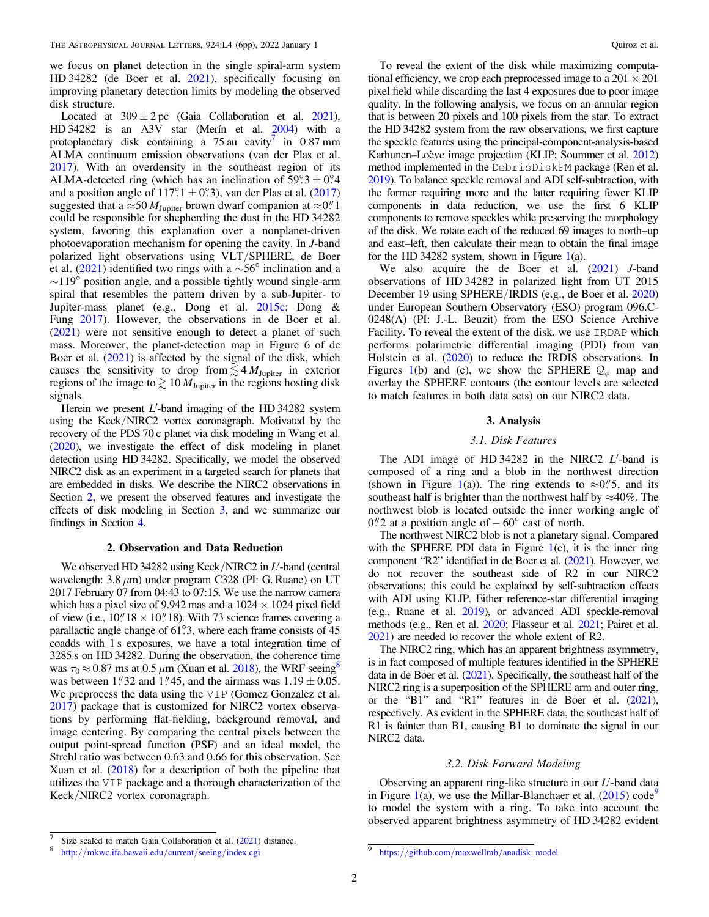<span id="page-1-0"></span>we focus on planet detection in the single spiral-arm system HD 34282 (de Boer et al. [2021](#page-5-0)), specifically focusing on improving planetary detection limits by modeling the observed disk structure.

Located at  $309 \pm 2$  pc (Gaia Collaboration et al. [2021](#page-5-0)), HD 34282 is an  $A3\overline{V}$  star (Merín et al. [2004](#page-5-0)) with a protoplanetary disk containing a  $75$  au cavity<sup>7</sup> in 0.87 mm ALMA continuum emission observations (van der Plas et al. [2017](#page-5-0)). With an overdensity in the southeast region of its ALMA-detected ring (which has an inclination of  $59^\circ \cdot 3 \pm 0^\circ 4$ and a position angle of  $117^\circ.1 \pm 0^\circ.3$ ), van der Plas et al. ([2017](#page-5-0)) suggested that a ≈50  $M_{\text{Jupiter}}$  brown dwarf companion at ≈0.<sup>"</sup> 1 could be responsible for shepherding the dust in the HD 34282 system, favoring this explanation over a nonplanet-driven photoevaporation mechanism for opening the cavity. In J-band polarized light observations using VLT/SPHERE, de Boer et al. ([2021](#page-5-0)) identified two rings with a ∼56° inclination and a  $\sim$ 119° position angle, and a possible tightly wound single-arm spiral that resembles the pattern driven by a sub-Jupiter- to Jupiter-mass planet (e.g., Dong et al. [2015c](#page-5-0); Dong & Fung [2017](#page-5-0)). However, the observations in de Boer et al. ([2021](#page-5-0)) were not sensitive enough to detect a planet of such mass. Moreover, the planet-detection map in Figure 6 of de Boer et al. ([2021](#page-5-0)) is affected by the signal of the disk, which causes the sensitivity to drop from  $\lesssim 4 M_{\text{Jupiter}}$  in exterior regions of the image to  $\geq 10 M_{\text{Jupiter}}$  in the regions hosting disk signals.

Herein we present  $L'$ -band imaging of the HD 34282 system using the Keck/NIRC2 vortex coronagraph. Motivated by the recovery of the PDS 70 c planet via disk modeling in Wang et al. ([2020](#page-5-0)), we investigate the effect of disk modeling in planet detection using HD 34282. Specifically, we model the observed NIRC2 disk as an experiment in a targeted search for planets that are embedded in disks. We describe the NIRC2 observations in Section 2, we present the observed features and investigate the effects of disk modeling in Section 3, and we summarize our findings in Section [4.](#page-4-0)

### 2. Observation and Data Reduction

We observed HD 34282 using Keck/NIRC2 in L'-band (central wavelength:  $3.8 \mu m$ ) under program C328 (PI: G. Ruane) on UT 2017 February 07 from 04:43 to 07:15. We use the narrow camera which has a pixel size of 9.942 mas and a  $1024 \times 1024$  pixel field of view (i.e.,  $10''18 \times 10''18$ ). With 73 science frames covering a parallactic angle change of 61°.3, where each frame consists of 45 coadds with 1 s exposures, we have a total integration time of 3285 s on HD 34282. During the observation, the coherence time was  $\tau_0 \approx 0.87$  ms at 0.5  $\mu$ m (Xuan et al. [2018](#page-5-0)), the WRF seeing<sup>8</sup> was between 1."32 and 1."45, and the airmass was  $1.19 \pm 0.05$ . We preprocess the data using the VIP (Gomez Gonzalez et al. [2017](#page-5-0)) package that is customized for NIRC2 vortex observations by performing flat-fielding, background removal, and image centering. By comparing the central pixels between the output point-spread function (PSF) and an ideal model, the Strehl ratio was between 0.63 and 0.66 for this observation. See Xuan et al. ([2018](#page-5-0)) for a description of both the pipeline that utilizes the VIP package and a thorough characterization of the Keck/NIRC2 vortex coronagraph.

To reveal the extent of the disk while maximizing computational efficiency, we crop each preprocessed image to a  $201 \times 201$ pixel field while discarding the last 4 exposures due to poor image quality. In the following analysis, we focus on an annular region that is between 20 pixels and 100 pixels from the star. To extract the HD 34282 system from the raw observations, we first capture the speckle features using the principal-component-analysis-based Karhunen–Loève image projection (KLIP; Soummer et al. [2012](#page-5-0)) method implemented in the DebrisDiskFM package (Ren et al. [2019](#page-5-0)). To balance speckle removal and ADI self-subtraction, with the former requiring more and the latter requiring fewer KLIP components in data reduction, we use the first 6 KLIP components to remove speckles while preserving the morphology of the disk. We rotate each of the reduced 69 images to north–up and east–left, then calculate their mean to obtain the final image for the HD 34282 system, shown in Figure  $1(a)$  $1(a)$ .

We also acquire the de Boer et al. ([2021](#page-5-0)) *J*-band observations of HD 34282 in polarized light from UT 2015 December 19 using SPHERE/IRDIS (e.g., de Boer et al. [2020](#page-5-0)) under European Southern Observatory (ESO) program 096.C-0248(A) (PI: J.-L. Beuzit) from the ESO Science Archive Facility. To reveal the extent of the disk, we use IRDAP which performs polarimetric differential imaging (PDI) from van Holstein et al. ([2020](#page-5-0)) to reduce the IRDIS observations. In Figures [1](#page-2-0)(b) and (c), we show the SPHERE  $\mathcal{Q}_{\phi}$  map and overlay the SPHERE contours (the contour levels are selected to match features in both data sets) on our NIRC2 data.

#### 3. Analysis

## 3.1. Disk Features

The ADI image of HD 34282 in the NIRC2  $L'$ -band is composed of a ring and a blob in the northwest direction (shown in Figure [1](#page-2-0)(a)). The ring extends to  $\approx 0$ . 5, and its southeast half is brighter than the northwest half by  $\approx$ 40%. The northwest blob is located outside the inner working angle of  $0$ ."2 at a position angle of  $-60^{\circ}$  east of north.

The northwest NIRC2 blob is not a planetary signal. Compared with the SPHERE PDI data in Figure  $1(c)$  $1(c)$ , it is the inner ring component "R2" identified in de Boer et al. ([2021](#page-5-0)). However, we do not recover the southeast side of R2 in our NIRC2 observations; this could be explained by self-subtraction effects with ADI using KLIP. Either reference-star differential imaging (e.g., Ruane et al. [2019](#page-5-0)), or advanced ADI speckle-removal methods (e.g., Ren et al. [2020](#page-5-0); Flasseur et al. [2021;](#page-5-0) Pairet et al. [2021](#page-5-0)) are needed to recover the whole extent of R2.

The NIRC2 ring, which has an apparent brightness asymmetry, is in fact composed of multiple features identified in the SPHERE data in de Boer et al.  $(2021)$  $(2021)$  $(2021)$ . Specifically, the southeast half of the NIRC2 ring is a superposition of the SPHERE arm and outer ring, or the "B1" and "R1" features in de Boer et al. ([2021](#page-5-0)), respectively. As evident in the SPHERE data, the southeast half of R1 is fainter than B1, causing B1 to dominate the signal in our NIRC2 data.

#### 3.2. Disk Forward Modeling

Observing an apparent ring-like structure in our  $L'$ -band data in Figure [1](#page-2-0)(a), we use the Millar-Blanchaer et al.  $(2015)$  $(2015)$  $(2015)$  code<sup>9</sup> to model the system with a ring. To take into account the observed apparent brightness asymmetry of HD 34282 evident

Size scaled to match Gaia Collaboration et al. ([2021](#page-5-0)) distance.<br>  $\frac{9 \text{ https://github.com/maxwellmb/anadisk_model}}{9 \text{ https://github.com/maxwellmb/anadisk_model}}$  $\frac{9 \text{ https://github.com/maxwellmb/anadisk_model}}{9 \text{ https://github.com/maxwellmb/anadisk_model}}$  $\frac{9 \text{ https://github.com/maxwellmb/anadisk_model}}{9 \text{ https://github.com/maxwellmb/anadisk_model}}$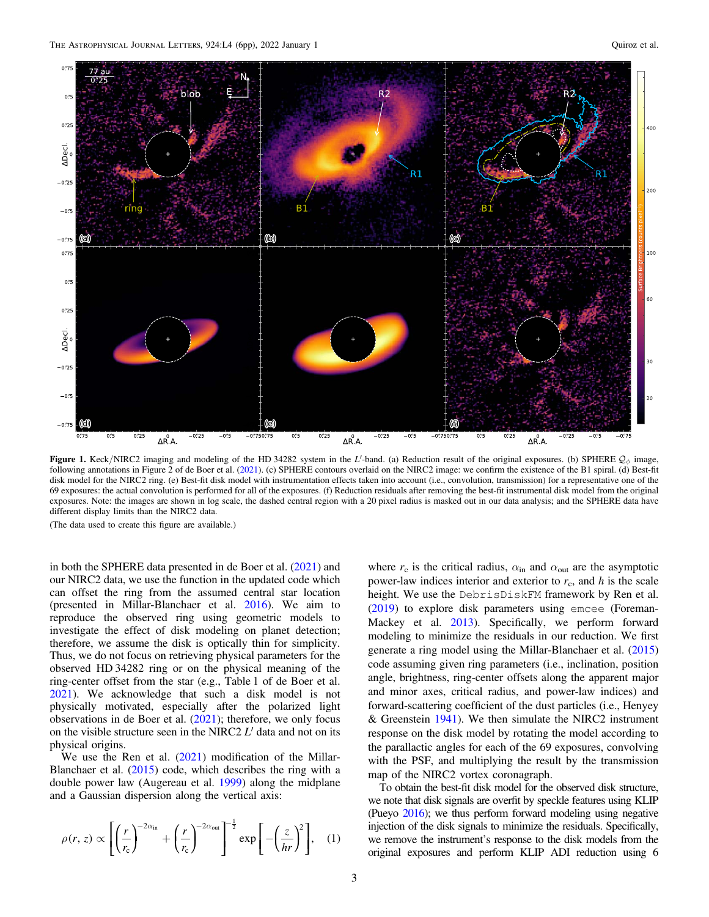<span id="page-2-0"></span>

Figure 1. Keck/NIRC2 imaging and modeling of the HD 34282 system in the L'-band. (a) Reduction result of the original exposures. (b) SPHERE  $\mathcal{Q}_{\phi}$  image, following annotations in Figure 2 of de Boer et al. ([2021](#page-5-0)). (c) SPHERE contours overlaid on the NIRC2 image: we confirm the existence of the B1 spiral. (d) Best-fit disk model for the NIRC2 ring. (e) Best-fit disk model with instrumentation effects taken into account (i.e., convolution, transmission) for a representative one of the 69 exposures: the actual convolution is performed for all of the exposures. (f) Reduction residuals after removing the best-fit instrumental disk model from the original exposures. Note: the images are shown in log scale, the dashed central region with a 20 pixel radius is masked out in our data analysis; and the SPHERE data have different display limits than the NIRC2 data.

(The data used to create this figure are available.)

in both the SPHERE data presented in de Boer et al. ([2021](#page-5-0)) and our NIRC2 data, we use the function in the updated code which can offset the ring from the assumed central star location (presented in Millar-Blanchaer et al. [2016](#page-5-0)). We aim to reproduce the observed ring using geometric models to investigate the effect of disk modeling on planet detection; therefore, we assume the disk is optically thin for simplicity. Thus, we do not focus on retrieving physical parameters for the observed HD 34282 ring or on the physical meaning of the ring-center offset from the star (e.g., Table 1 of de Boer et al. [2021](#page-5-0)). We acknowledge that such a disk model is not physically motivated, especially after the polarized light observations in de Boer et al. ([2021](#page-5-0)); therefore, we only focus on the visible structure seen in the NIRC2  $L'$  data and not on its physical origins.

We use the Ren et al. ([2021](#page-5-0)) modification of the Millar-Blanchaer et al. ([2015](#page-5-0)) code, which describes the ring with a double power law (Augereau et al. [1999](#page-5-0)) along the midplane and a Gaussian dispersion along the vertical axis:

$$
\rho(r,z) \propto \left[ \left( \frac{r}{r_c} \right)^{-2\alpha_{\rm in}} + \left( \frac{r}{r_c} \right)^{-2\alpha_{\rm out}} \right]^{-\frac{1}{2}} \exp\left[ -\left( \frac{z}{hr} \right)^2 \right], \quad (1)
$$

where  $r_c$  is the critical radius,  $\alpha_{\rm in}$  and  $\alpha_{\rm out}$  are the asymptotic power-law indices interior and exterior to  $r_c$ , and h is the scale height. We use the DebrisDiskFM framework by Ren et al. ([2019](#page-5-0)) to explore disk parameters using emcee (Foreman-Mackey et al. [2013](#page-5-0)). Specifically, we perform forward modeling to minimize the residuals in our reduction. We first generate a ring model using the Millar-Blanchaer et al. ([2015](#page-5-0)) code assuming given ring parameters (i.e., inclination, position angle, brightness, ring-center offsets along the apparent major and minor axes, critical radius, and power-law indices) and forward-scattering coefficient of the dust particles (i.e., Henyey & Greenstein  $1941$ ). We then simulate the NIRC2 instrument response on the disk model by rotating the model according to the parallactic angles for each of the 69 exposures, convolving with the PSF, and multiplying the result by the transmission map of the NIRC2 vortex coronagraph.

To obtain the best-fit disk model for the observed disk structure, we note that disk signals are overfit by speckle features using KLIP (Pueyo [2016](#page-5-0)); we thus perform forward modeling using negative injection of the disk signals to minimize the residuals. Specifically, we remove the instrument's response to the disk models from the original exposures and perform KLIP ADI reduction using 6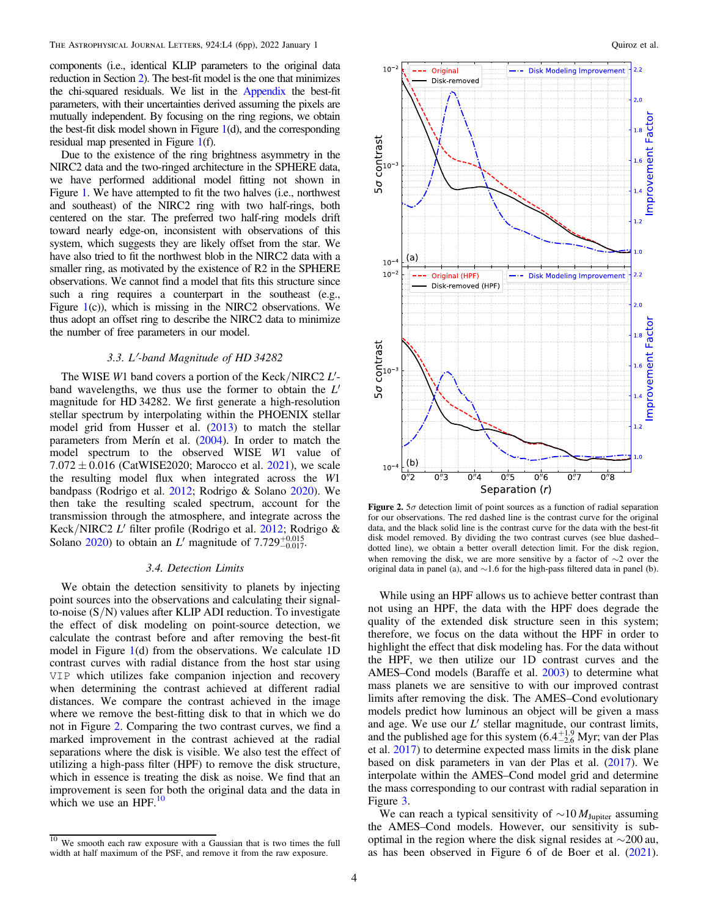components (i.e., identical KLIP parameters to the original data reduction in Section [2](#page-1-0)). The best-fit model is the one that minimizes the chi-squared residuals. We list in the [Appendix](#page-4-0) the best-fit parameters, with their uncertainties derived assuming the pixels are mutually independent. By focusing on the ring regions, we obtain the best-fit disk model shown in Figure [1](#page-2-0)(d), and the corresponding residual map presented in Figure [1](#page-2-0)(f).

Due to the existence of the ring brightness asymmetry in the NIRC2 data and the two-ringed architecture in the SPHERE data, we have performed additional model fitting not shown in Figure [1](#page-2-0). We have attempted to fit the two halves (i.e., northwest and southeast) of the NIRC2 ring with two half-rings, both centered on the star. The preferred two half-ring models drift toward nearly edge-on, inconsistent with observations of this system, which suggests they are likely offset from the star. We have also tried to fit the northwest blob in the NIRC2 data with a smaller ring, as motivated by the existence of R2 in the SPHERE observations. We cannot find a model that fits this structure since such a ring requires a counterpart in the southeast (e.g., Figure [1](#page-2-0)(c)), which is missing in the NIRC2 observations. We thus adopt an offset ring to describe the NIRC2 data to minimize the number of free parameters in our model.

#### 3.3. L′-band Magnitude of HD 34282

The WISE W1 band covers a portion of the Keck/NIRC2 L'band wavelengths, we thus use the former to obtain the  $L'$ magnitude for HD 34282. We first generate a high-resolution stellar spectrum by interpolating within the PHOENIX stellar model grid from Husser et al. ([2013](#page-5-0)) to match the stellar parameters from Merín et al. ([2004](#page-5-0)). In order to match the model spectrum to the observed WISE W1 value of  $7.072 \pm 0.016$  (CatWISE2020; Marocco et al. [2021](#page-5-0)), we scale the resulting model flux when integrated across the W1 bandpass (Rodrigo et al. [2012](#page-5-0); Rodrigo & Solano [2020](#page-5-0)). We then take the resulting scaled spectrum, account for the transmission through the atmosphere, and integrate across the Keck/NIRC2 L′ filter profile (Rodrigo et al. [2012;](#page-5-0) Rodrigo & Solano [2020](#page-5-0)) to obtain an L' magnitude of  $7.729_{-0.017}^{+0.015}$ .

#### 3.4. Detection Limits

We obtain the detection sensitivity to planets by injecting point sources into the observations and calculating their signalto-noise (S/N) values after KLIP ADI reduction. To investigate the effect of disk modeling on point-source detection, we calculate the contrast before and after removing the best-fit model in Figure [1](#page-2-0)(d) from the observations. We calculate 1D contrast curves with radial distance from the host star using VIP which utilizes fake companion injection and recovery when determining the contrast achieved at different radial distances. We compare the contrast achieved in the image where we remove the best-fitting disk to that in which we do not in Figure 2. Comparing the two contrast curves, we find a marked improvement in the contrast achieved at the radial separations where the disk is visible. We also test the effect of utilizing a high-pass filter (HPF) to remove the disk structure, which in essence is treating the disk as noise. We find that an improvement is seen for both the original data and the data in which we use an HPF. $^{10}$ 



Figure 2.  $5\sigma$  detection limit of point sources as a function of radial separation for our observations. The red dashed line is the contrast curve for the original data, and the black solid line is the contrast curve for the data with the best-fit disk model removed. By dividing the two contrast curves (see blue dashed– dotted line), we obtain a better overall detection limit. For the disk region, when removing the disk, we are more sensitive by a factor of ∼2 over the original data in panel (a), and ∼1.6 for the high-pass filtered data in panel (b).

While using an HPF allows us to achieve better contrast than not using an HPF, the data with the HPF does degrade the quality of the extended disk structure seen in this system; therefore, we focus on the data without the HPF in order to highlight the effect that disk modeling has. For the data without the HPF, we then utilize our 1D contrast curves and the AMES–Cond models (Baraffe et al. [2003](#page-5-0)) to determine what mass planets we are sensitive to with our improved contrast limits after removing the disk. The AMES–Cond evolutionary models predict how luminous an object will be given a mass and age. We use our  $L'$  stellar magnitude, our contrast limits, and the published age for this system  $(6.4^{+1.9}_{-2.6}$  Myr; van der Plas et al. [2017](#page-5-0)) to determine expected mass limits in the disk plane based on disk parameters in van der Plas et al. ([2017](#page-5-0)). We interpolate within the AMES–Cond model grid and determine the mass corresponding to our contrast with radial separation in Figure [3.](#page-4-0)

We can reach a typical sensitivity of  $\sim 10 M_{\text{Jupiter}}$  assuming the AMES–Cond models. However, our sensitivity is suboptimal in the region where the disk signal resides at  $\sim$ 200 au, as has been observed in Figure 6 of de Boer et al. ([2021](#page-5-0)).

 $\frac{10}{10}$  We smooth each raw exposure with a Gaussian that is two times the full width at half maximum of the PSF, and remove it from the raw exposure.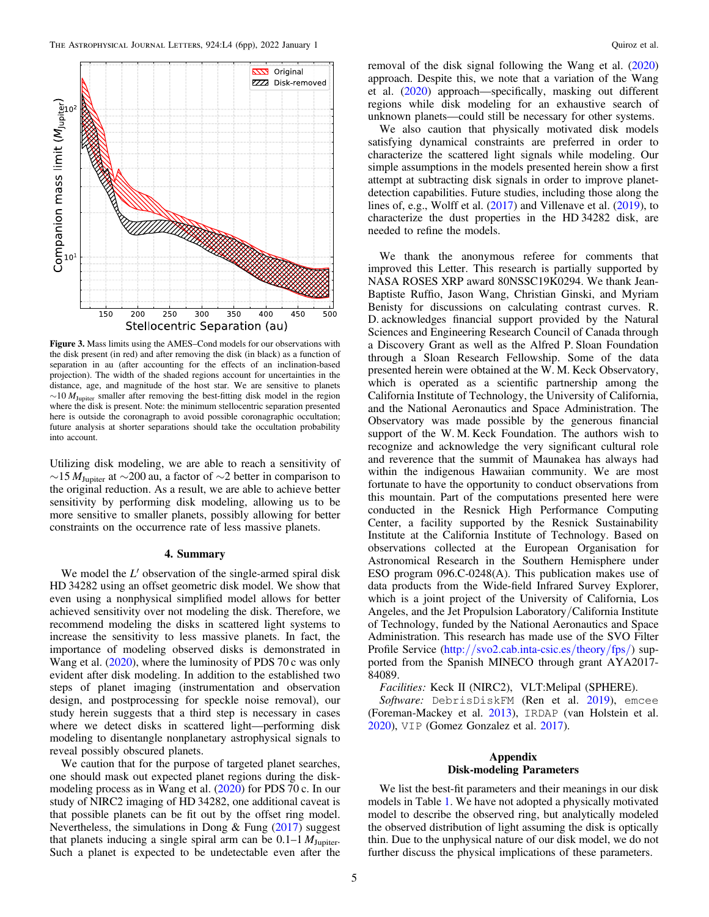<span id="page-4-0"></span>

Figure 3. Mass limits using the AMES–Cond models for our observations with the disk present (in red) and after removing the disk (in black) as a function of separation in au (after accounting for the effects of an inclination-based projection). The width of the shaded regions account for uncertainties in the distance, age, and magnitude of the host star. We are sensitive to planets  $\sim$ 10  $M_{\text{Jupiter}}$  smaller after removing the best-fitting disk model in the region where the disk is present. Note: the minimum stellocentric separation presented here is outside the coronagraph to avoid possible coronagraphic occultation; future analysis at shorter separations should take the occultation probability into account.

Utilizing disk modeling, we are able to reach a sensitivity of  $\sim$ 15  $M_{\text{Jupiter}}$  at  $\sim$ 200 au, a factor of  $\sim$ 2 better in comparison to the original reduction. As a result, we are able to achieve better sensitivity by performing disk modeling, allowing us to be more sensitive to smaller planets, possibly allowing for better constraints on the occurrence rate of less massive planets.

#### 4. Summary

We model the  $L'$  observation of the single-armed spiral disk HD 34282 using an offset geometric disk model. We show that even using a nonphysical simplified model allows for better achieved sensitivity over not modeling the disk. Therefore, we recommend modeling the disks in scattered light systems to increase the sensitivity to less massive planets. In fact, the importance of modeling observed disks is demonstrated in Wang et al. ([2020](#page-5-0)), where the luminosity of PDS 70 c was only evident after disk modeling. In addition to the established two steps of planet imaging (instrumentation and observation design, and postprocessing for speckle noise removal), our study herein suggests that a third step is necessary in cases where we detect disks in scattered light—performing disk modeling to disentangle nonplanetary astrophysical signals to reveal possibly obscured planets.

We caution that for the purpose of targeted planet searches, one should mask out expected planet regions during the diskmodeling process as in Wang et al. ([2020](#page-5-0)) for PDS 70 c. In our study of NIRC2 imaging of HD 34282, one additional caveat is that possible planets can be fit out by the offset ring model. Nevertheless, the simulations in Dong  $&$  Fung ([2017](#page-5-0)) suggest that planets inducing a single spiral arm can be  $0.1-1 M_{\text{Jupiter}}$ . Such a planet is expected to be undetectable even after the

removal of the disk signal following the Wang et al. ([2020](#page-5-0)) approach. Despite this, we note that a variation of the Wang et al. ([2020](#page-5-0)) approach—specifically, masking out different regions while disk modeling for an exhaustive search of unknown planets—could still be necessary for other systems.

We also caution that physically motivated disk models satisfying dynamical constraints are preferred in order to characterize the scattered light signals while modeling. Our simple assumptions in the models presented herein show a first attempt at subtracting disk signals in order to improve planetdetection capabilities. Future studies, including those along the lines of, e.g., Wolff et al. ([2017](#page-5-0)) and Villenave et al. ([2019](#page-5-0)), to characterize the dust properties in the HD 34282 disk, are needed to refine the models.

We thank the anonymous referee for comments that improved this Letter. This research is partially supported by NASA ROSES XRP award 80NSSC19K0294. We thank Jean-Baptiste Ruffio, Jason Wang, Christian Ginski, and Myriam Benisty for discussions on calculating contrast curves. R. D. acknowledges financial support provided by the Natural Sciences and Engineering Research Council of Canada through a Discovery Grant as well as the Alfred P. Sloan Foundation through a Sloan Research Fellowship. Some of the data presented herein were obtained at the W. M. Keck Observatory, which is operated as a scientific partnership among the California Institute of Technology, the University of California, and the National Aeronautics and Space Administration. The Observatory was made possible by the generous financial support of the W. M. Keck Foundation. The authors wish to recognize and acknowledge the very significant cultural role and reverence that the summit of Maunakea has always had within the indigenous Hawaiian community. We are most fortunate to have the opportunity to conduct observations from this mountain. Part of the computations presented here were conducted in the Resnick High Performance Computing Center, a facility supported by the Resnick Sustainability Institute at the California Institute of Technology. Based on observations collected at the European Organisation for Astronomical Research in the Southern Hemisphere under ESO program 096.C-0248(A). This publication makes use of data products from the Wide-field Infrared Survey Explorer, which is a joint project of the University of California, Los Angeles, and the Jet Propulsion Laboratory/California Institute of Technology, funded by the National Aeronautics and Space Administration. This research has made use of the SVO Filter Profile Service (http://[svo2.cab.inta-csic.es](http://svo2.cab.inta-csic.es/theory/fps/)/theory/fps/) supported from the Spanish MINECO through grant AYA2017- 84089.

Facilities: Keck II (NIRC2), VLT:Melipal (SPHERE).

Software: DebrisDiskFM (Ren et al. [2019](#page-5-0)), emcee (Foreman-Mackey et al. [2013](#page-5-0)), IRDAP (van Holstein et al. [2020](#page-5-0)), VIP (Gomez Gonzalez et al. [2017](#page-5-0)).

# Appendix Disk-modeling Parameters

We list the best-fit parameters and their meanings in our disk models in Table [1.](#page-5-0) We have not adopted a physically motivated model to describe the observed ring, but analytically modeled the observed distribution of light assuming the disk is optically thin. Due to the unphysical nature of our disk model, we do not further discuss the physical implications of these parameters.